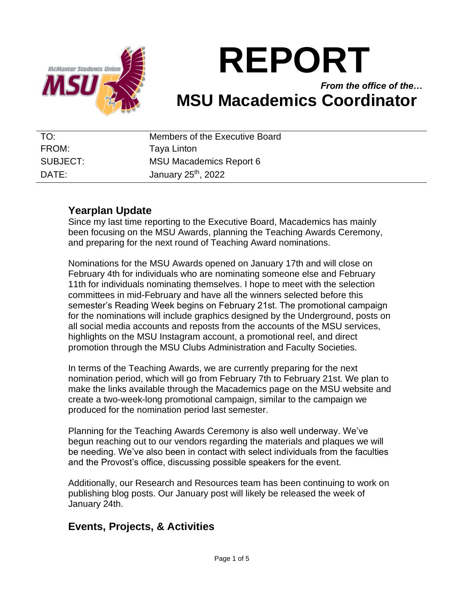

# **REPORT**

## *From the office of the…* **MSU Macademics Coordinator**

| TO:      | Members of the Executive Board  |
|----------|---------------------------------|
| FROM:    | Taya Linton                     |
| SUBJECT: | <b>MSU Macademics Report 6</b>  |
| DATE:    | January 25 <sup>th</sup> , 2022 |

## **Yearplan Update**

Since my last time reporting to the Executive Board, Macademics has mainly been focusing on the MSU Awards, planning the Teaching Awards Ceremony, and preparing for the next round of Teaching Award nominations.

Nominations for the MSU Awards opened on January 17th and will close on February 4th for individuals who are nominating someone else and February 11th for individuals nominating themselves. I hope to meet with the selection committees in mid-February and have all the winners selected before this semester's Reading Week begins on February 21st. The promotional campaign for the nominations will include graphics designed by the Underground, posts on all social media accounts and reposts from the accounts of the MSU services, highlights on the MSU Instagram account, a promotional reel, and direct promotion through the MSU Clubs Administration and Faculty Societies.

In terms of the Teaching Awards, we are currently preparing for the next nomination period, which will go from February 7th to February 21st. We plan to make the links available through the Macademics page on the MSU website and create a two-week-long promotional campaign, similar to the campaign we produced for the nomination period last semester.

Planning for the Teaching Awards Ceremony is also well underway. We've begun reaching out to our vendors regarding the materials and plaques we will be needing. We've also been in contact with select individuals from the faculties and the Provost's office, discussing possible speakers for the event.

Additionally, our Research and Resources team has been continuing to work on publishing blog posts. Our January post will likely be released the week of January 24th.

## **Events, Projects, & Activities**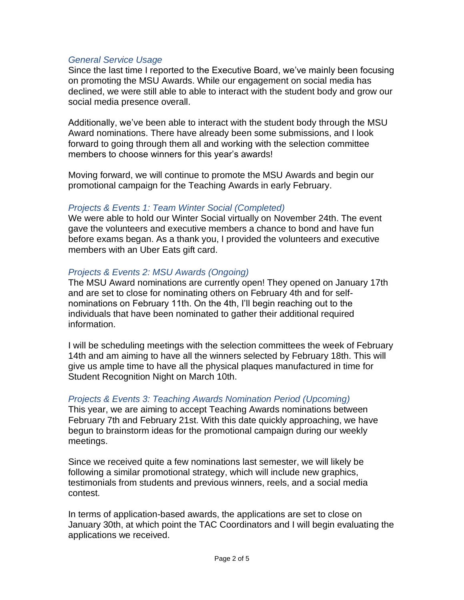#### *General Service Usage*

Since the last time I reported to the Executive Board, we've mainly been focusing on promoting the MSU Awards. While our engagement on social media has declined, we were still able to able to interact with the student body and grow our social media presence overall.

Additionally, we've been able to interact with the student body through the MSU Award nominations. There have already been some submissions, and I look forward to going through them all and working with the selection committee members to choose winners for this year's awards!

Moving forward, we will continue to promote the MSU Awards and begin our promotional campaign for the Teaching Awards in early February.

#### *Projects & Events 1: Team Winter Social (Completed)*

We were able to hold our Winter Social virtually on November 24th. The event gave the volunteers and executive members a chance to bond and have fun before exams began. As a thank you, I provided the volunteers and executive members with an Uber Eats gift card.

#### *Projects & Events 2: MSU Awards (Ongoing)*

The MSU Award nominations are currently open! They opened on January 17th and are set to close for nominating others on February 4th and for selfnominations on February 11th. On the 4th, I'll begin reaching out to the individuals that have been nominated to gather their additional required information.

I will be scheduling meetings with the selection committees the week of February 14th and am aiming to have all the winners selected by February 18th. This will give us ample time to have all the physical plaques manufactured in time for Student Recognition Night on March 10th.

#### *Projects & Events 3: Teaching Awards Nomination Period (Upcoming)*

This year, we are aiming to accept Teaching Awards nominations between February 7th and February 21st. With this date quickly approaching, we have begun to brainstorm ideas for the promotional campaign during our weekly meetings.

Since we received quite a few nominations last semester, we will likely be following a similar promotional strategy, which will include new graphics, testimonials from students and previous winners, reels, and a social media contest.

In terms of application-based awards, the applications are set to close on January 30th, at which point the TAC Coordinators and I will begin evaluating the applications we received.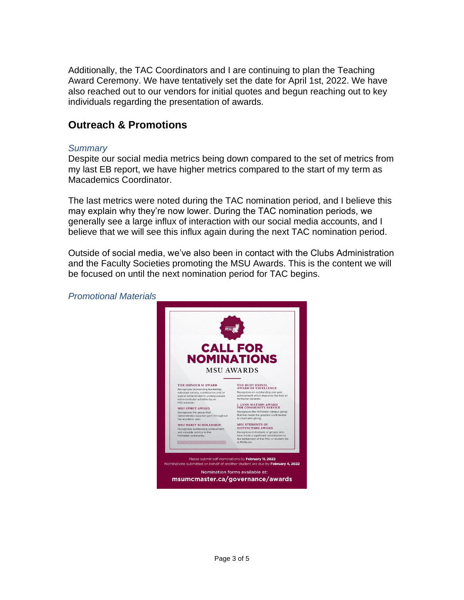Additionally, the TAC Coordinators and I are continuing to plan the Teaching Award Ceremony. We have tentatively set the date for April 1st, 2022. We have also reached out to our vendors for initial quotes and begun reaching out to key individuals regarding the presentation of awards.

## **Outreach & Promotions**

#### *Summary*

Despite our social media metrics being down compared to the set of metrics from my last EB report, we have higher metrics compared to the start of my term as Macademics Coordinator.

The last metrics were noted during the TAC nomination period, and I believe this may explain why they're now lower. During the TAC nomination periods, we generally see a large influx of interaction with our social media accounts, and I believe that we will see this influx again during the next TAC nomination period.

Outside of social media, we've also been in contact with the Clubs Administration and the Faculty Societies promoting the MSU Awards. This is the content we will be focused on until the next nomination period for TAC begins.

*Promotional Materials*

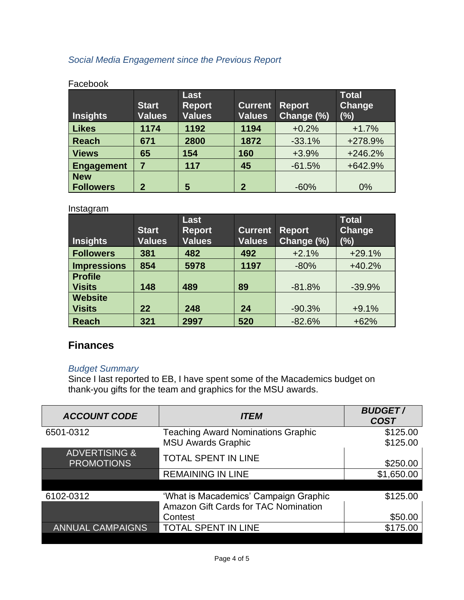### *Social Media Engagement since the Previous Report*

| <b>Insights</b>   | <b>Start</b><br><b>Values</b> | Last<br><b>Report</b><br><b>Values</b> | <b>Current</b><br><b>Values</b> | <b>Report</b><br>Change (%) | <b>Total</b><br><b>Change</b><br>(%) |
|-------------------|-------------------------------|----------------------------------------|---------------------------------|-----------------------------|--------------------------------------|
| <b>Likes</b>      | 1174                          | 1192                                   | 1194                            | $+0.2%$                     | $+1.7%$                              |
| <b>Reach</b>      | 671                           | 2800                                   | 1872                            | $-33.1%$                    | +278.9%                              |
| <b>Views</b>      | 65                            | 154                                    | 160                             | $+3.9%$                     | $+246.2%$                            |
| <b>Engagement</b> | 7                             | 117                                    | 45                              | $-61.5%$                    | +642.9%                              |
| <b>New</b>        |                               |                                        |                                 |                             |                                      |
| <b>Followers</b>  | $\overline{2}$                | 5                                      | $\overline{2}$                  | $-60%$                      | 0%                                   |

#### Facebook

#### Instagram

| <b>Insights</b>                 | <b>Start</b><br><b>Values</b> | Last<br><b>Report</b><br><b>Values</b> | <b>Current</b><br><b>Values</b> | <b>Report</b><br>Change (%) | <b>Total</b><br>Change<br>(%) |
|---------------------------------|-------------------------------|----------------------------------------|---------------------------------|-----------------------------|-------------------------------|
| <b>Followers</b>                | 381                           | 482                                    | 492                             | $+2.1%$                     | $+29.1%$                      |
| <b>Impressions</b>              | 854                           | 5978                                   | 1197                            | $-80%$                      | $+40.2%$                      |
| <b>Profile</b><br><b>Visits</b> | 148                           | 489                                    | 89                              | $-81.8%$                    | $-39.9%$                      |
| <b>Website</b>                  |                               |                                        |                                 |                             |                               |
| <b>Visits</b>                   | 22                            | 248                                    | 24                              | $-90.3%$                    | $+9.1%$                       |
| <b>Reach</b>                    | 321                           | 2997                                   | 520                             | $-82.6%$                    | $+62%$                        |

## **Finances**

#### *Budget Summary*

Since I last reported to EB, I have spent some of the Macademics budget on thank-you gifts for the team and graphics for the MSU awards.

| <b>ACCOUNT CODE</b>                           | <i><b>ITEM</b></i>                        | <b>BUDGET/</b><br><b>COST</b> |
|-----------------------------------------------|-------------------------------------------|-------------------------------|
| 6501-0312                                     | <b>Teaching Award Nominations Graphic</b> | \$125.00                      |
|                                               | <b>MSU Awards Graphic</b>                 | \$125.00                      |
| <b>ADVERTISING &amp;</b><br><b>PROMOTIONS</b> | <b>TOTAL SPENT IN LINE</b>                | \$250.00                      |
|                                               | <b>REMAINING IN LINE</b>                  | \$1,650.00                    |
|                                               |                                           |                               |
| 6102-0312                                     | 'What is Macademics' Campaign Graphic     | \$125.00                      |
|                                               | Amazon Gift Cards for TAC Nomination      |                               |
|                                               | Contest                                   | \$50.00                       |
| <b>ANNUAL CAMPAIGNS</b>                       | <b>TOTAL SPENT IN LINE</b>                | \$175.00                      |
|                                               |                                           |                               |